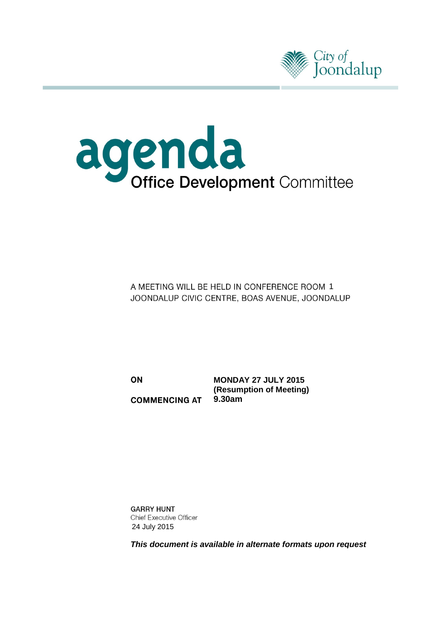



A MEETING WILL BE HELD IN CONFERENCE ROOM 1 JOONDALUP CIVIC CENTRE, BOAS AVENUE, JOONDALUP

ON **COMMENCING AT** 

**MONDAY 27 JULY 2015 (Resumption of Meeting) 9.30am**

**GARRY HUNT Chief Executive Officer** 24 July 2015

*This document is available in alternate formats upon request*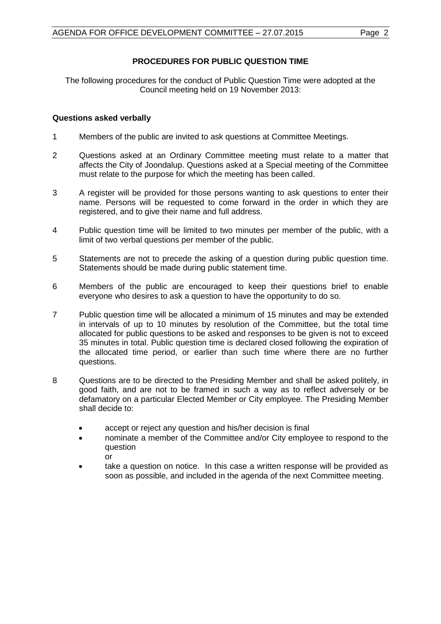# **PROCEDURES FOR PUBLIC QUESTION TIME**

The following procedures for the conduct of Public Question Time were adopted at the Council meeting held on 19 November 2013:

# **Questions asked verbally**

- 1 Members of the public are invited to ask questions at Committee Meetings.
- 2 Questions asked at an Ordinary Committee meeting must relate to a matter that affects the City of Joondalup. Questions asked at a Special meeting of the Committee must relate to the purpose for which the meeting has been called.
- 3 A register will be provided for those persons wanting to ask questions to enter their name. Persons will be requested to come forward in the order in which they are registered, and to give their name and full address.
- 4 Public question time will be limited to two minutes per member of the public, with a limit of two verbal questions per member of the public.
- 5 Statements are not to precede the asking of a question during public question time. Statements should be made during public statement time.
- 6 Members of the public are encouraged to keep their questions brief to enable everyone who desires to ask a question to have the opportunity to do so.
- 7 Public question time will be allocated a minimum of 15 minutes and may be extended in intervals of up to 10 minutes by resolution of the Committee, but the total time allocated for public questions to be asked and responses to be given is not to exceed 35 minutes in total. Public question time is declared closed following the expiration of the allocated time period, or earlier than such time where there are no further questions.
- 8 Questions are to be directed to the Presiding Member and shall be asked politely, in good faith, and are not to be framed in such a way as to reflect adversely or be defamatory on a particular Elected Member or City employee. The Presiding Member shall decide to:
	- accept or reject any question and his/her decision is final
	- nominate a member of the Committee and/or City employee to respond to the question

or

• take a question on notice. In this case a written response will be provided as soon as possible, and included in the agenda of the next Committee meeting.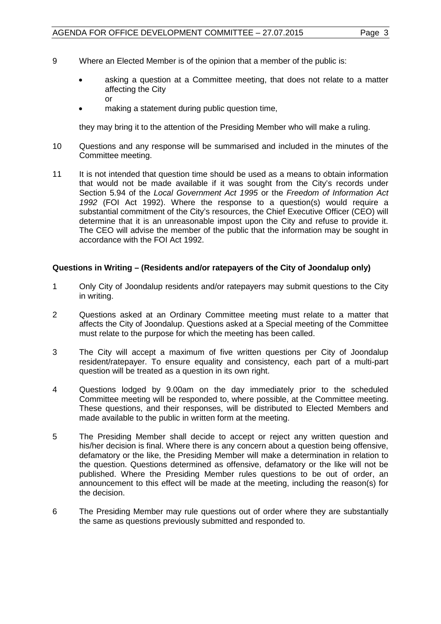- 9 Where an Elected Member is of the opinion that a member of the public is:
	- asking a question at a Committee meeting, that does not relate to a matter affecting the City or
	- making a statement during public question time,

they may bring it to the attention of the Presiding Member who will make a ruling.

- 10 Questions and any response will be summarised and included in the minutes of the Committee meeting.
- 11 It is not intended that question time should be used as a means to obtain information that would not be made available if it was sought from the City's records under Section 5.94 of the *Local Government Act 1995* or the *Freedom of Information Act 1992* (FOI Act 1992). Where the response to a question(s) would require a substantial commitment of the City's resources, the Chief Executive Officer (CEO) will determine that it is an unreasonable impost upon the City and refuse to provide it. The CEO will advise the member of the public that the information may be sought in accordance with the FOI Act 1992.

# **Questions in Writing – (Residents and/or ratepayers of the City of Joondalup only)**

- 1 Only City of Joondalup residents and/or ratepayers may submit questions to the City in writing.
- 2 Questions asked at an Ordinary Committee meeting must relate to a matter that affects the City of Joondalup. Questions asked at a Special meeting of the Committee must relate to the purpose for which the meeting has been called.
- 3 The City will accept a maximum of five written questions per City of Joondalup resident/ratepayer. To ensure equality and consistency, each part of a multi-part question will be treated as a question in its own right.
- 4 Questions lodged by 9.00am on the day immediately prior to the scheduled Committee meeting will be responded to, where possible, at the Committee meeting. These questions, and their responses, will be distributed to Elected Members and made available to the public in written form at the meeting.
- 5 The Presiding Member shall decide to accept or reject any written question and his/her decision is final. Where there is any concern about a question being offensive, defamatory or the like, the Presiding Member will make a determination in relation to the question. Questions determined as offensive, defamatory or the like will not be published. Where the Presiding Member rules questions to be out of order, an announcement to this effect will be made at the meeting, including the reason(s) for the decision.
- 6 The Presiding Member may rule questions out of order where they are substantially the same as questions previously submitted and responded to.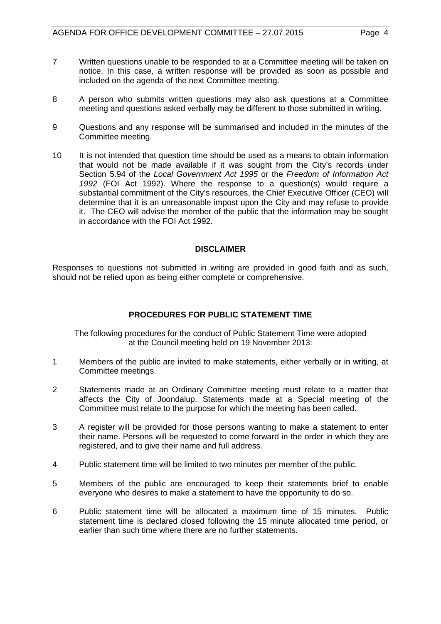- 7 Written questions unable to be responded to at a Committee meeting will be taken on notice. In this case, a written response will be provided as soon as possible and included on the agenda of the next Committee meeting.
- 8 A person who submits written questions may also ask questions at a Committee meeting and questions asked verbally may be different to those submitted in writing.
- 9 Questions and any response will be summarised and included in the minutes of the Committee meeting.
- 10 It is not intended that question time should be used as a means to obtain information that would not be made available if it was sought from the City's records under Section 5.94 of the *Local Government Act 1995* or the *Freedom of Information Act 1992* (FOI Act 1992). Where the response to a question(s) would require a substantial commitment of the City's resources, the Chief Executive Officer (CEO) will determine that it is an unreasonable impost upon the City and may refuse to provide it. The CEO will advise the member of the public that the information may be sought in accordance with the FOI Act 1992.

# **DISCLAIMER**

Responses to questions not submitted in writing are provided in good faith and as such, should not be relied upon as being either complete or comprehensive.

# **PROCEDURES FOR PUBLIC STATEMENT TIME**

The following procedures for the conduct of Public Statement Time were adopted at the Council meeting held on 19 November 2013:

- 1 Members of the public are invited to make statements, either verbally or in writing, at Committee meetings.
- 2 Statements made at an Ordinary Committee meeting must relate to a matter that affects the City of Joondalup. Statements made at a Special meeting of the Committee must relate to the purpose for which the meeting has been called.
- 3 A register will be provided for those persons wanting to make a statement to enter their name. Persons will be requested to come forward in the order in which they are registered, and to give their name and full address.
- 4 Public statement time will be limited to two minutes per member of the public.
- 5 Members of the public are encouraged to keep their statements brief to enable everyone who desires to make a statement to have the opportunity to do so.
- 6 Public statement time will be allocated a maximum time of 15 minutes. Public statement time is declared closed following the 15 minute allocated time period, or earlier than such time where there are no further statements.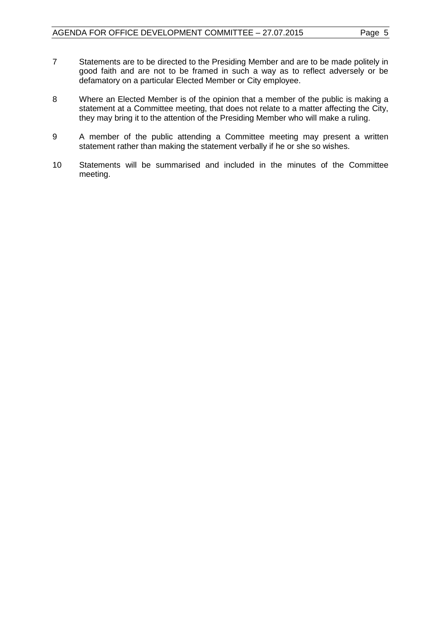- 7 Statements are to be directed to the Presiding Member and are to be made politely in good faith and are not to be framed in such a way as to reflect adversely or be defamatory on a particular Elected Member or City employee.
- 8 Where an Elected Member is of the opinion that a member of the public is making a statement at a Committee meeting, that does not relate to a matter affecting the City, they may bring it to the attention of the Presiding Member who will make a ruling.
- 9 A member of the public attending a Committee meeting may present a written statement rather than making the statement verbally if he or she so wishes.
- 10 Statements will be summarised and included in the minutes of the Committee meeting.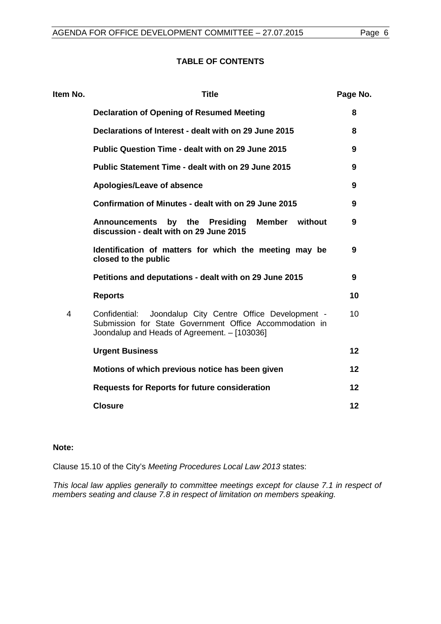# **TABLE OF CONTENTS**

| Item No. | <b>Title</b>                                                                                                                                                           | Page No. |
|----------|------------------------------------------------------------------------------------------------------------------------------------------------------------------------|----------|
|          | <b>Declaration of Opening of Resumed Meeting</b>                                                                                                                       | 8        |
|          | Declarations of Interest - dealt with on 29 June 2015                                                                                                                  | 8        |
|          | <b>Public Question Time - dealt with on 29 June 2015</b>                                                                                                               | 9        |
|          | <b>Public Statement Time - dealt with on 29 June 2015</b>                                                                                                              | 9        |
|          | Apologies/Leave of absence                                                                                                                                             | 9        |
|          | Confirmation of Minutes - dealt with on 29 June 2015                                                                                                                   | 9        |
|          | by the<br>Member<br>without<br><b>Announcements</b><br>Presiding<br>discussion - dealt with on 29 June 2015                                                            | 9        |
|          | Identification of matters for which the meeting may be<br>closed to the public                                                                                         | 9        |
|          | Petitions and deputations - dealt with on 29 June 2015                                                                                                                 | 9        |
|          | <b>Reports</b>                                                                                                                                                         | 10       |
| 4        | Joondalup City Centre Office Development -<br>Confidential:<br>Submission for State Government Office Accommodation in<br>Joondalup and Heads of Agreement. - [103036] | 10       |
|          | <b>Urgent Business</b>                                                                                                                                                 | 12       |
|          | Motions of which previous notice has been given                                                                                                                        | 12       |
|          | <b>Requests for Reports for future consideration</b>                                                                                                                   | 12       |
|          | <b>Closure</b>                                                                                                                                                         | 12       |
|          |                                                                                                                                                                        |          |

# **Note:**

Clause 15.10 of the City's *Meeting Procedures Local Law 2013* states:

*This local law applies generally to committee meetings except for clause 7.1 in respect of members seating and clause 7.8 in respect of limitation on members speaking.*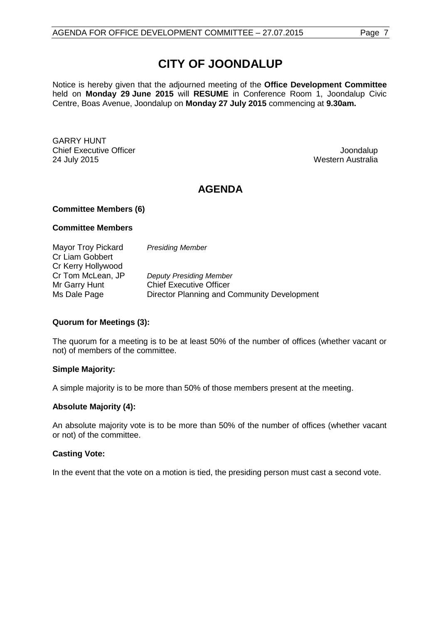# **CITY OF JOONDALUP**

Notice is hereby given that the adjourned meeting of the **Office Development Committee**  held on **Monday 29 June 2015** will **RESUME** in Conference Room 1, Joondalup Civic Centre, Boas Avenue, Joondalup on **Monday 27 July 2015** commencing at **9.30am.**

GARRY HUNT Chief Executive Officer Chief Executive Officer Chief Executive Officer Chief Executive Officer Chief Chief Lo<br>
24 July 2015 Chief Executive Officer Chief Louis Chief Chief Louis Chief Louis Chief Louis Chief Louis Chief<br>

Western Australia

# **AGENDA**

#### **Committee Members (6)**

#### **Committee Members**

| Mayor Troy Pickard | <b>Presiding Member</b>                     |
|--------------------|---------------------------------------------|
| Cr Liam Gobbert    |                                             |
| Cr Kerry Hollywood |                                             |
| Cr Tom McLean, JP  | <b>Deputy Presiding Member</b>              |
| Mr Garry Hunt      | <b>Chief Executive Officer</b>              |
| Ms Dale Page       | Director Planning and Community Development |

# **Quorum for Meetings (3):**

The quorum for a meeting is to be at least 50% of the number of offices (whether vacant or not) of members of the committee.

# **Simple Majority:**

A simple majority is to be more than 50% of those members present at the meeting.

# **Absolute Majority (4):**

An absolute majority vote is to be more than 50% of the number of offices (whether vacant or not) of the committee.

# **Casting Vote:**

In the event that the vote on a motion is tied, the presiding person must cast a second vote.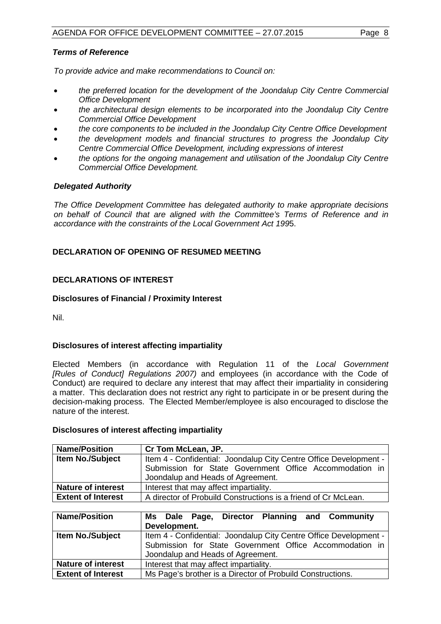# *Terms of Reference*

*To provide advice and make recommendations to Council on:*

- *the preferred location for the development of the Joondalup City Centre Commercial Office Development*
- *the architectural design elements to be incorporated into the Joondalup City Centre Commercial Office Development*
- *the core components to be included in the Joondalup City Centre Office Development*
- *the development models and financial structures to progress the Joondalup City Centre Commercial Office Development, including expressions of interest*
- *the options for the ongoing management and utilisation of the Joondalup City Centre Commercial Office Development.*

# *Delegated Authority*

*The Office Development Committee has delegated authority to make appropriate decisions on behalf of Council that are aligned with the Committee's Terms of Reference and in accordance with the constraints of the Local Government Act 199*5.

# <span id="page-7-0"></span>**DECLARATION OF OPENING OF RESUMED MEETING**

# <span id="page-7-1"></span>**DECLARATIONS OF INTEREST**

#### **Disclosures of Financial / Proximity Interest**

Nil.

# **Disclosures of interest affecting impartiality**

Elected Members (in accordance with Regulation 11 of the *Local Government [Rules of Conduct] Regulations 2007)* and employees (in accordance with the Code of Conduct) are required to declare any interest that may affect their impartiality in considering a matter. This declaration does not restrict any right to participate in or be present during the decision-making process. The Elected Member/employee is also encouraged to disclose the nature of the interest.

#### **Disclosures of interest affecting impartiality**

| <b>Name/Position</b>      | Cr Tom McLean, JP.                                                                           |  |  |
|---------------------------|----------------------------------------------------------------------------------------------|--|--|
| <b>Item No./Subject</b>   | Item 4 - Confidential: Joondalup City Centre Office Development -                            |  |  |
|                           | Submission for State Government Office Accommodation in<br>Joondalup and Heads of Agreement. |  |  |
| <b>Nature of interest</b> | Interest that may affect impartiality.                                                       |  |  |
| <b>Extent of Interest</b> | A director of Probuild Constructions is a friend of Cr McLean.                               |  |  |

| <b>Name/Position</b>      | Ms Dale Page, Director Planning and Community                     |  |  |
|---------------------------|-------------------------------------------------------------------|--|--|
|                           | Development.                                                      |  |  |
| Item No./Subject          | Item 4 - Confidential: Joondalup City Centre Office Development - |  |  |
|                           | Submission for State Government Office Accommodation in           |  |  |
|                           | Joondalup and Heads of Agreement.                                 |  |  |
| <b>Nature of interest</b> | Interest that may affect impartiality.                            |  |  |
| <b>Extent of Interest</b> | Ms Page's brother is a Director of Probuild Constructions.        |  |  |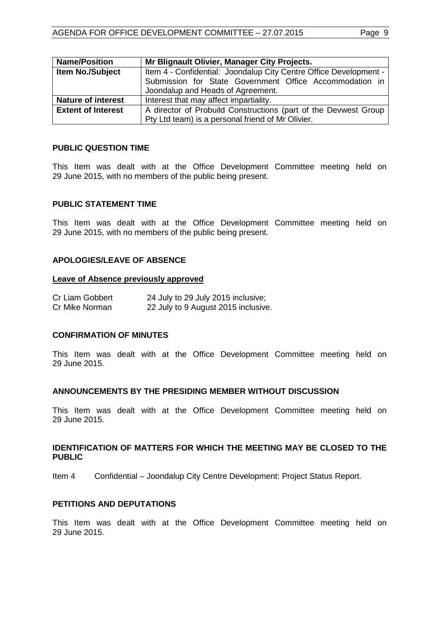| <b>Name/Position</b>      | Mr Blignault Olivier, Manager City Projects.                      |  |  |
|---------------------------|-------------------------------------------------------------------|--|--|
| <b>Item No./Subject</b>   | Item 4 - Confidential: Joondalup City Centre Office Development - |  |  |
|                           | Submission for State Government Office Accommodation in           |  |  |
|                           | Joondalup and Heads of Agreement.                                 |  |  |
| <b>Nature of interest</b> | Interest that may affect impartiality.                            |  |  |
| <b>Extent of Interest</b> | A director of Probuild Constructions (part of the Devwest Group   |  |  |
|                           | Pty Ltd team) is a personal friend of Mr Olivier.                 |  |  |

#### <span id="page-8-0"></span>**PUBLIC QUESTION TIME**

This Item was dealt with at the Office Development Committee meeting held on 29 June 2015, with no members of the public being present.

#### <span id="page-8-1"></span>**PUBLIC STATEMENT TIME**

This Item was dealt with at the Office Development Committee meeting held on 29 June 2015, with no members of the public being present.

#### <span id="page-8-2"></span>**APOLOGIES/LEAVE OF ABSENCE**

#### **Leave of Absence previously approved**

| Cr Liam Gobbert | 24 July to 29 July 2015 inclusive;  |
|-----------------|-------------------------------------|
| Cr Mike Norman  | 22 July to 9 August 2015 inclusive. |

#### <span id="page-8-3"></span>**CONFIRMATION OF MINUTES**

This Item was dealt with at the Office Development Committee meeting held on 29 June 2015.

#### <span id="page-8-4"></span>**ANNOUNCEMENTS BY THE PRESIDING MEMBER WITHOUT DISCUSSION**

This Item was dealt with at the Office Development Committee meeting held on 29 June 2015.

#### <span id="page-8-5"></span>**IDENTIFICATION OF MATTERS FOR WHICH THE MEETING MAY BE CLOSED TO THE PUBLIC**

Item 4 Confidential – Joondalup City Centre Development: Project Status Report.

#### <span id="page-8-6"></span>**PETITIONS AND DEPUTATIONS**

This Item was dealt with at the Office Development Committee meeting held on 29 June 2015.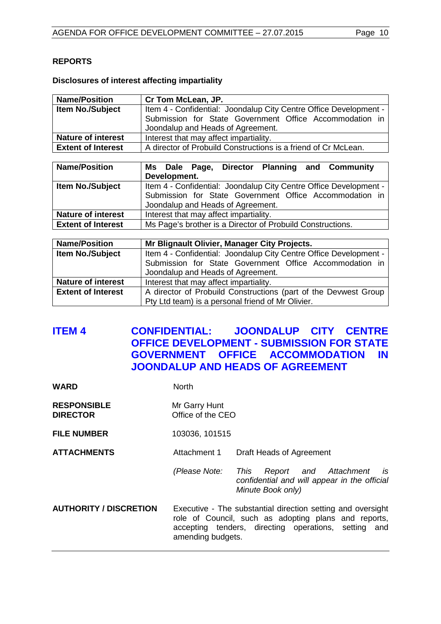# <span id="page-9-0"></span>**REPORTS**

# **Disclosures of interest affecting impartiality**

| <b>Name/Position</b>      | Cr Tom McLean, JP.                                                                           |  |
|---------------------------|----------------------------------------------------------------------------------------------|--|
| <b>Item No./Subject</b>   | Item 4 - Confidential: Joondalup City Centre Office Development -                            |  |
|                           | Submission for State Government Office Accommodation in<br>Joondalup and Heads of Agreement. |  |
| <b>Nature of interest</b> | Interest that may affect impartiality.                                                       |  |
| <b>Extent of Interest</b> | A director of Probuild Constructions is a friend of Cr McLean.                               |  |

| <b>Name/Position</b>      | Ms Dale Page, Director Planning and Community                     |  |  |  |
|---------------------------|-------------------------------------------------------------------|--|--|--|
|                           | Development.                                                      |  |  |  |
| Item No./Subject          | Item 4 - Confidential: Joondalup City Centre Office Development - |  |  |  |
|                           | Submission for State Government Office Accommodation in           |  |  |  |
|                           | Joondalup and Heads of Agreement.                                 |  |  |  |
| <b>Nature of interest</b> | Interest that may affect impartiality.                            |  |  |  |
| <b>Extent of Interest</b> | Ms Page's brother is a Director of Probuild Constructions.        |  |  |  |

| <b>Name/Position</b>      | Mr Blignault Olivier, Manager City Projects.                      |  |  |
|---------------------------|-------------------------------------------------------------------|--|--|
| <b>Item No./Subject</b>   | Item 4 - Confidential: Joondalup City Centre Office Development - |  |  |
|                           | Submission for State Government Office Accommodation in           |  |  |
|                           | Joondalup and Heads of Agreement.                                 |  |  |
| <b>Nature of interest</b> | Interest that may affect impartiality.                            |  |  |
| <b>Extent of Interest</b> | A director of Probuild Constructions (part of the Devwest Group   |  |  |
|                           | Pty Ltd team) is a personal friend of Mr Olivier.                 |  |  |

# <span id="page-9-1"></span>**ITEM 4 CONFIDENTIAL: JOONDALUP CITY CENTRE OFFICE DEVELOPMENT - SUBMISSION FOR STATE GOVERNMENT OFFICE ACCOMMODATION IN JOONDALUP AND HEADS OF AGREEMENT**

| North                                                                                                                                                                                            |                                                                                                          |
|--------------------------------------------------------------------------------------------------------------------------------------------------------------------------------------------------|----------------------------------------------------------------------------------------------------------|
| Mr Garry Hunt<br>Office of the CEO                                                                                                                                                               |                                                                                                          |
| 103036, 101515                                                                                                                                                                                   |                                                                                                          |
| Attachment 1                                                                                                                                                                                     | Draft Heads of Agreement                                                                                 |
| (Please Note:                                                                                                                                                                                    | This<br>Report and Attachment<br>is<br>confidential and will appear in the official<br>Minute Book only) |
| Executive - The substantial direction setting and oversight<br>role of Council, such as adopting plans and reports,<br>accepting tenders, directing operations, setting and<br>amending budgets. |                                                                                                          |
|                                                                                                                                                                                                  |                                                                                                          |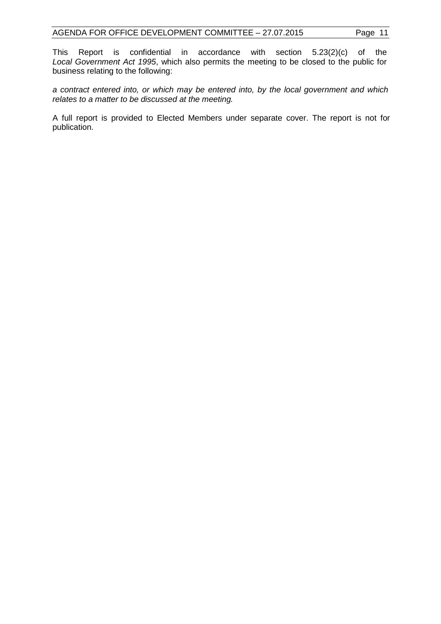This Report is confidential in accordance with section 5.23(2)(c) of the *Local Government Act 1995*, which also permits the meeting to be closed to the public for business relating to the following:

*a contract entered into, or which may be entered into, by the local government and which relates to a matter to be discussed at the meeting.*

A full report is provided to Elected Members under separate cover. The report is not for publication.